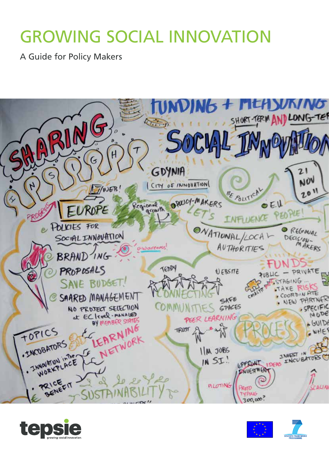# GROWING SOCIAL INNOVATION

A Guide for Policy Makers





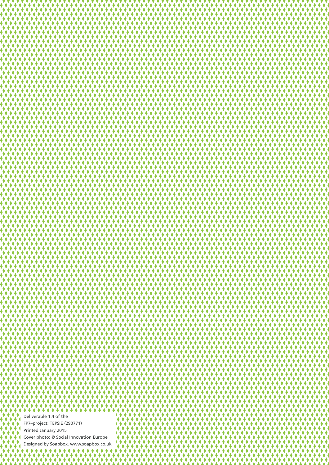Deliverable 1.4 of the FP7–project: TEPSIE (290771) Printed January 2015 Cover photo: © Social Innovation Europe Designed by Soapbox, www.soapbox.co.uk٠  $\bullet$ K

222222222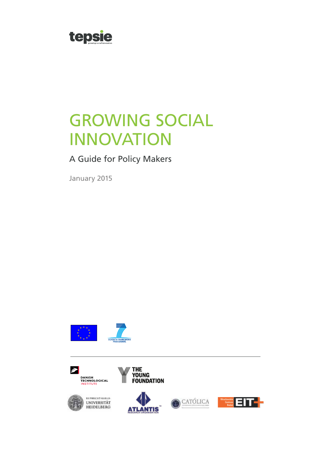

# GROWING SOCIAL INNOVATION

A Guide for Policy Makers

January 2015









THE<br>Young<br>Foundation

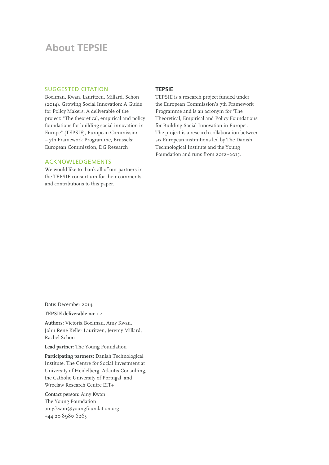# **About TEPSIE**

#### SUGGESTED CITATION

Boelman, Kwan, Lauritzen, Millard, Schon (2014). Growing Social Innovation: A Guide for Policy Makers. A deliverable of the project: "The theoretical, empirical and policy foundations for building social innovation in Europe" (TEPSIE), European Commission – 7th Framework Programme, Brussels: European Commission, DG Research

#### ACKNOWLEDGEMENTS

We would like to thank all of our partners in the TEPSIE consortium for their comments and contributions to this paper.

#### **TEPSIE**

TEPSIE is a research project funded under the European Commission's 7th Framework Programme and is an acronym for 'The Theoretical, Empirical and Policy Foundations for Building Social Innovation in Europe'. The project is a research collaboration between six European institutions led by The Danish Technological Institute and the Young Foundation and runs from 2012–2015.

**Date**: December 2014

**TEPSIE deliverable no:** 1.4

**Authors:** Victoria Boelman, Amy Kwan, John René Keller Lauritzen, Jeremy Millard, Rachel Schon

**Lead partner:** The Young Foundation

**Participating partners:** Danish Technological Institute, The Centre for Social Investment at University of Heidelberg, Atlantis Consulting, the Catholic University of Portugal, and Wroclaw Research Centre EIT+

**Contact person:** Amy Kwan The Young Foundation [amy.kwan@youngfoundation.org](mailto:email@email.eu) +44 20 8980 6263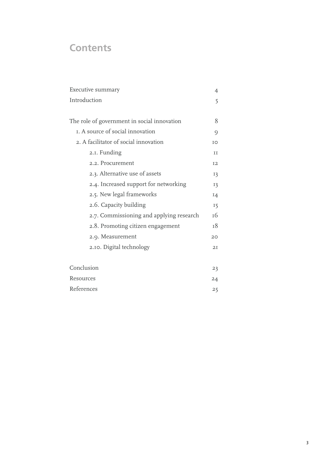# **Contents**

| Executive summary                           |                 |  |
|---------------------------------------------|-----------------|--|
| Introduction                                |                 |  |
|                                             |                 |  |
| The role of government in social innovation |                 |  |
| I. A source of social innovation            |                 |  |
| 2. A facilitator of social innovation       |                 |  |
| 2.1. Funding                                | II              |  |
| 2.2. Procurement                            | <b>I2</b>       |  |
| 2.3. Alternative use of assets              | 13              |  |
| 2.4. Increased support for networking       |                 |  |
| 2.5. New legal frameworks                   |                 |  |
| 2.6. Capacity building                      |                 |  |
| 2.7. Commissioning and applying research    |                 |  |
| 2.8. Promoting citizen engagement           |                 |  |
| 2.9. Measurement                            | 20 <sub>o</sub> |  |
| 2.10. Digital technology                    | 2I              |  |
|                                             |                 |  |
| Conclusion                                  |                 |  |
| Resources                                   |                 |  |

[References](#page-26-0) 25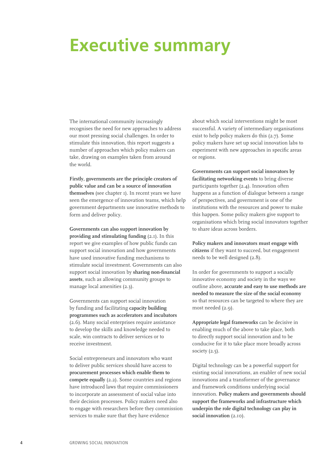# <span id="page-5-0"></span>**Executive summary**

The international community increasingly recognises the need for new approaches to address our most pressing social challenges. In order to stimulate this innovation, this report suggests a number of approaches which policy makers can take, drawing on examples taken from around the world.

**Firstly, governments are the principle creators of public value and can be a source of innovation themselves** (see chapter 1). In recent years we have seen the emergence of innovation teams, which help government departments use innovative methods to form and deliver policy.

**Governments can also support innovation by providing and stimulating funding** (2.1). In this report we give examples of how public funds can support social innovation and how governments have used innovative funding mechanisms to stimulate social investment. Governments can also support social innovation by **sharing non-financial assets**, such as allowing community groups to manage local amenities (2.3).

Governments can support social innovation by funding and facilitating **capacity building programmes such as accelerators and incubators** (2.6). Many social enterprises require assistance to develop the skills and knowledge needed to scale, win contracts to deliver services or to receive investment.

Social entrepreneurs and innovators who want to deliver public services should have access to **procurement processes which enable them to compete equally** (2.2). Some countries and regions have introduced laws that require commissioners to incorporate an assessment of social value into their decision processes. Policy makers need also to engage with researchers before they commission services to make sure that they have evidence

about which social interventions might be most successful. A variety of intermediary organisations exist to help policy makers do this (2.7). Some policy makers have set up social innovation labs to experiment with new approaches in specific areas or regions.

**Governments can support social innovators by facilitating networking events** to bring diverse participants together (2.4). Innovation often happens as a function of dialogue between a range of perspectives, and government is one of the institutions with the resources and power to make this happen. Some policy makers give support to organisations which bring social innovators together to share ideas across borders.

**Policy makers and innovators must engage with citizens** if they want to succeed, but engagement needs to be well designed (2.8).

In order for governments to support a socially innovative economy and society in the ways we outline above, **accurate and easy to use methods are needed to measure the size of the social economy** so that resources can be targeted to where they are most needed (2.9).

**Appropriate legal frameworks** can be decisive in enabling much of the above to take place, both to directly support social innovation and to be conducive for it to take place more broadly across society (2.5).

Digital technology can be a powerful support for existing social innovations, an enabler of new social innovations and a transformer of the governance and framework conditions underlying social innovation. **Policy makers and governments should support the frameworks and infrastructure which underpin the role digital technology can play in social innovation** (2.10).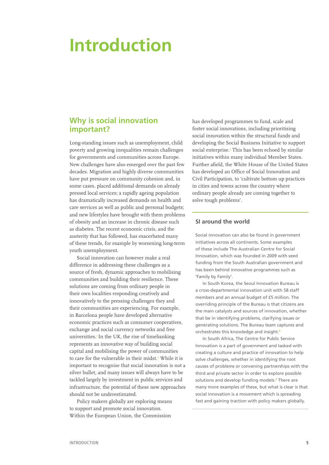# <span id="page-6-0"></span>**Introduction**

## **Why is social innovation important?**

Long-standing issues such as unemployment, child poverty and growing inequalities remain challenges for governments and communities across Europe. New challenges have also emerged over the past few decades. Migration and highly diverse communities have put pressure on community cohesion and, in some cases, placed additional demands on already pressed local services; a rapidly ageing population has dramatically increased demands on health and care services as well as public and personal budgets; and new lifestyles have brought with them problems of obesity and an increase in chronic disease such as diabetes. The recent economic crisis, and the austerity that has followed, has exacerbated many of these trends, for example by worsening long-term youth unemployment.

Social innovation can however make a real difference in addressing these challenges as a source of fresh, dynamic approaches to mobilising communities and building their resilience. These solutions are coming from ordinary people in their own localities responding creatively and innovatively to the pressing challenges they and their communities are experiencing. For example, in Barcelona people have developed alternative economic practices such as consumer cooperatives, exchange and social currency networks and free universities.**<sup>1</sup>**In the UK, the rise of timebanking represents an innovative way of building social capital and mobilising the power of communities to care for the vulnerable in their midst.**<sup>2</sup>** While it is important to recognise that social innovation is not a silver bullet, and many issues will always have to be tackled largely by investment in public services and infrastructure, the potential of these new approaches should not be underestimated.

Policy makers globally are exploring means to support and promote social innovation. Within the European Union, the Commission

has developed programmes to fund, scale and foster social innovations, including prioritising social innovation within the structural funds and developing the Social Business Initiative to support social enterprise.**<sup>3</sup>** This has been echoed by similar initiatives within many individual Member States. Further afield, the White House of the United States has developed an Office of Social Innovation and Civil Participation, to 'cultivate bottom up practices in cities and towns across the country where ordinary people already are coming together to solve tough problems'.

#### **SI around the world**

Social innovation can also be found in government initiatives across all continents. Some examples of these include The Australian Centre for Social Innovation, which was founded in 2009 with seed funding from the South Australian government and has been behind innovative programmes such as 'Family by Family'.

In South Korea, the Seoul Innovation Bureau is a cross-departmental innovation unit with 58 staff members and an annual budget of £5 million. The overriding principle of the Bureau is that citizens are the main catalysts and sources of innovation, whether that be in identifying problems, clarifying issues or generating solutions. The Bureau team captures and orchestrates this knowledge and insight.**<sup>5</sup>**

In South Africa, The Centre for Public Service Innovation is a part of government and tasked with creating a culture and practice of innovation to help solve challenges, whether in identifying the root causes of problems or convening partnerships with the third and private sector in order to explore possible solutions and develop funding models.**<sup>6</sup>** There are many more examples of these, but what is clear is that social innovation is a movement which is spreading fast and gaining traction with policy makers globally.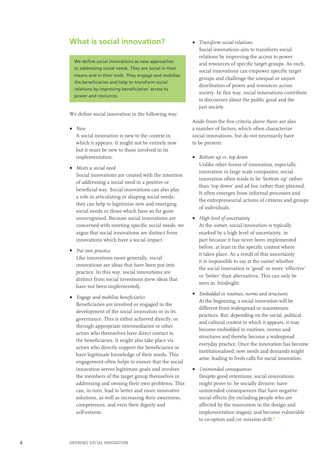# **What is social innovation?**

We define social innovations as new approaches to addressing social needs. They are social in their means and in their ends. They engage and mobilise the beneficiaries and help to transform social relations by improving beneficiaries' access to power and resources.

We define social innovation in the following way:

**•** *New*

A social innovation is new to the context in which it appears. It might not be entirely new but it must be new to those involved in its implementation.

**•** *Meets a social need*

Social innovations are created with the intention of addressing a social need in a positive or beneficial way. Social innovations can also play a role in articulating or shaping social needs; they can help to legitimise new and emerging social needs or those which have so far gone unrecognised. Because social innovations are concerned with meeting specific social needs, we argue that social innovations are distinct from innovations which have a social impact.**<sup>7</sup>**

**•** *Put into practice*

Like innovations more generally, social innovations are ideas that have been put into practice. In this way, social innovations are distinct from social inventions (new ideas that have not been implemented).

**•** *Engage and mobilise beneficiaries* Beneficiaries are involved or engaged in the development of the social innovation or in its governance. This is either achieved directly, or through appropriate intermediaries or other actors who themselves have direct contact to the beneficiaries. It might also take place via actors who directly support the beneficiaries or have legitimate knowledge of their needs. This engagement often helps to ensure that the social innovation serves legitimate goals and involves the members of the target group themselves in addressing and owning their own problems. This can, in turn, lead to better and more innovative solutions, as well as increasing their awareness, competences, and even their dignity and self-esteem.

**•** *Transform social relations* Social innovations aim to transform social relations by improving the access to power and resources of specific target groups. As such, social innovations can empower specific target groups and challenge the unequal or unjust distribution of power and resources across society. In this way, social innovations contribute to discourses about the public good and the just society.

Aside from the five criteria above there are also a number of factors, which often characterize social innovations, but do not necessarily have to be present:

**•** *Bottom up vs. top down*

Unlike other forms of innovation, especially innovation in large scale companies, social innovation often tends to be 'bottom up' rather than 'top down' and ad hoc rather than planned. It often emerges from informal processes and the entrepreneurial actions of citizens and groups of individuals.

**•** *High level of uncertainty*

At the outset, social innovation is typically marked by a high level of uncertainty, in part because it has never been implemented before, at least in the specific context where it takes place. As a result of this uncertainty it is impossible to say at the outset whether the social innovation is 'good' or more 'effective' or 'better' than alternatives. This can only be seen in hindsight.

- **•** *Embedded in routines, norms and structures* At the beginning, a social innovation will be different from widespread or mainstream practices. But, depending on the social, political and cultural context in which it appears, it may become embedded in routines, norms and structures and thereby become a widespread everyday practice. Once the innovation has become institutionalised, new needs and demands might arise, leading to fresh calls for social innovation.
- **•** *Unintended consequences* Despite good intentions, social innovations might prove to: be socially divisive; have unintended consequences that have negative social effects (by excluding people who are affected by the innovation in the design and implementation stages); and become vulnerable to co-option and/or mission drift.**<sup>8</sup>**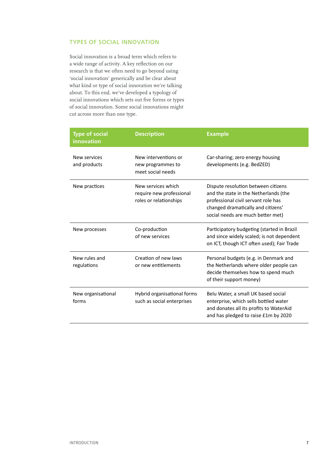#### TYPES OF SOCIAL INNOVATION

Social innovation is a broad term which refers to a wide range of activity. A key reflection on our research is that we often need to go beyond using 'social innovation' generically and be clear about what kind or type of social innovation we're talking about. To this end, we've developed a typology of social innovations which sets out five forms or types of social innovation. Some social innovations might cut across more than one type.

| <b>Type of social</b><br>innovation | <b>Description</b>                                                       | <b>Example</b>                                                                                                                                                                                 |
|-------------------------------------|--------------------------------------------------------------------------|------------------------------------------------------------------------------------------------------------------------------------------------------------------------------------------------|
| New services<br>and products        | New interventions or<br>new programmes to<br>meet social needs           | Car-sharing; zero energy housing<br>developments (e.g. BedZED)                                                                                                                                 |
| New practices                       | New services which<br>require new professional<br>roles or relationships | Dispute resolution between citizens<br>and the state in the Netherlands (the<br>professional civil servant role has<br>changed dramatically and citizens'<br>social needs are much better met) |
| New processes                       | Co-production<br>of new services                                         | Participatory budgeting (started in Brazil<br>and since widely scaled; is not dependent<br>on ICT, though ICT often used); Fair Trade                                                          |
| New rules and<br>regulations        | Creation of new laws<br>or new entitlements                              | Personal budgets (e.g. in Denmark and<br>the Netherlands where older people can<br>decide themselves how to spend much<br>of their support money)                                              |
| New organisational<br>forms         | Hybrid organisational forms<br>such as social enterprises                | Belu Water, a small UK based social<br>enterprise, which sells bottled water<br>and donates all its profits to WaterAid<br>and has pledged to raise £1m by 2020                                |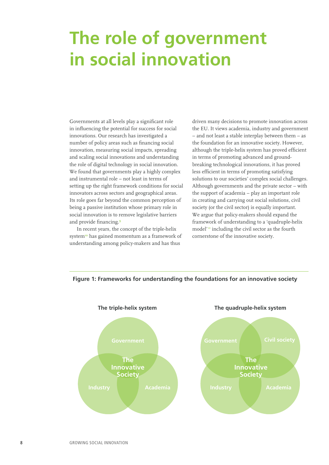# <span id="page-9-0"></span>**The role of government in social innovation**

Governments at all levels play a significant role in influencing the potential for success for social innovations. Our research has investigated a number of policy areas such as financing social innovation, measuring social impacts, spreading and scaling social innovations and understanding the role of digital technology in social innovation. We found that governments play a highly complex and instrumental role – not least in terms of setting up the right framework conditions for social innovators across sectors and geographical areas. Its role goes far beyond the common perception of being a passive institution whose primary role in social innovation is to remove legislative barriers and provide financing.**<sup>9</sup>**

In recent years, the concept of the triple-helix system**<sup>10</sup>** has gained momentum as a framework of understanding among policy-makers and has thus

driven many decisions to promote innovation across the EU. It views academia, industry and government – and not least a stable interplay between them – as the foundation for an innovative society. However, although the triple-helix system has proved efficient in terms of promoting advanced and groundbreaking technological innovations, it has proved less efficient in terms of promoting satisfying solutions to our societies' complex social challenges. Although governments and the private sector – with the support of academia – play an important role in creating and carrying out social solutions, civil society (or the civil sector) is equally important. We argue that policy-makers should expand the framework of understanding to a 'quadruple-helix model'<sup>"</sup> including the civil sector as the fourth cornerstone of the innovative society.



#### **Figure 1: Frameworks for understanding the foundations for an innovative society**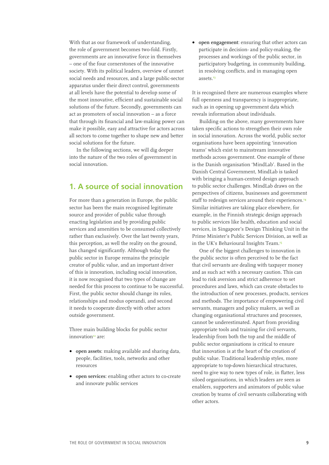<span id="page-10-0"></span>With that as our framework of understanding, the role of government becomes two-fold. Firstly, governments are an innovative force in themselves – one of the four cornerstones of the innovative society. With its political leaders, overview of unmet social needs and resources, and a large public-sector apparatus under their direct control, governments at all levels have the potential to develop some of the most innovative, efficient and sustainable social solutions of the future. Secondly, governments can act as promoters of social innovation – as a force that through its financial and law-making power can make it possible, easy and attractive for actors across all sectors to come together to shape new and better social solutions for the future.

In the following sections, we will dig deeper into the nature of the two roles of government in social innovation.

### **1. A source of social innovation**

For more than a generation in Europe, the public sector has been the main recognised legitimate source and provider of public value through enacting legislation and by providing public services and amenities to be consumed collectively rather than exclusively. Over the last twenty years, this perception, as well the reality on the ground, has changed significantly. Although today the public sector in Europe remains the principle creator of public value, and an important driver of this is innovation, including social innovation, it is now recognised that two types of change are needed for this process to continue to be successful. First, the public sector should change its roles, relationships and modus operandi, and second it needs to cooperate directly with other actors outside government.

Three main building blocks for public sector innovation**<sup>12</sup>** are:

- **• open assets**: making available and sharing data, people, facilities, tools, networks and other resources
- **• open services**: enabling other actors to co-create and innovate public services

**• open engagement**: ensuring that other actors can participate in decision- and policy-making, the processes and workings of the public sector, in participatory budgeting, in community building, in resolving conflicts, and in managing open assets.**<sup>13</sup>**

It is recognised there are numerous examples where full openness and transparency is inappropriate, such as in opening up government data which reveals information about individuals.

Building on the above, many governments have taken specific actions to strengthen their own role in social innovation. Across the world, public sector organisations have been appointing 'innovation teams' which exist to mainstream innovative methods across government. One example of these is the Danish organisation 'MindLab'. Based in the Danish Central Government, MindLab is tasked with bringing a human-centred design approach to public sector challenges. MindLab draws on the perspectives of citizens, businesses and government staff to redesign services around their experiences.**<sup>14</sup>** Similar initiatives are taking place elsewhere, for example, in the Finnish strategic design approach to public services like health, education and social services, in Singapore's Design Thinking Unit in the Prime Minister's Public Services Division, as well as in the UK's Behavioural Insights Team.**<sup>15</sup>**

One of the biggest challenges to innovation in the public sector is often perceived to be the fact that civil servants are dealing with taxpayer money and as such act with a necessary caution. This can lead to risk aversion and strict adherence to set procedures and laws, which can create obstacles to the introduction of new processes, products, services and methods. The importance of empowering civil servants, managers and policy makers, as well as changing organisational structures and processes, cannot be underestimated. Apart from providing appropriate tools and training for civil servants, leadership from both the top and the middle of public sector organisations is critical to ensure that innovation is at the heart of the creation of public value. Traditional leadership styles, more appropriate to top-down hierarchical structures, need to give way to new types of role, in flatter, less siloed organisations, in which leaders are seen as enablers, supporters and animators of public value creation by teams of civil servants collaborating with other actors.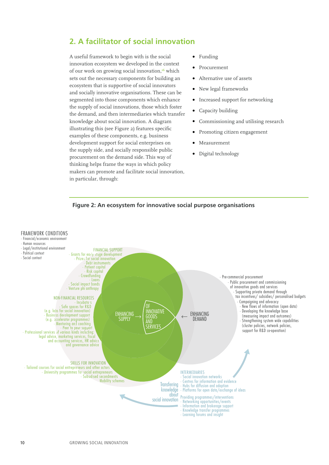# <span id="page-11-0"></span>**2. A facilitator of social innovation**

A useful framework to begin with is the social innovation ecosystem we developed in the context of our work on growing social innovation,**<sup>16</sup>** which sets out the necessary components for building an ecosystem that is supportive of social innovators and socially innovative organisations. These can be segmented into those components which enhance the supply of social innovations, those which foster the demand, and then intermediaries which transfer knowledge about social innovation. A diagram illustrating this (see Figure 2) features specific examples of these components, e.g. business development support for social enterprises on the supply side, and socially responsible public procurement on the demand side. This way of thinking helps frame the ways in which policy makers can promote and facilitate social innovation, in particular, through:

- **•** Funding
- **•** Procurement
- **•** Alternative use of assets
- **•** New legal frameworks
- **•** Increased support for networking
- **•** Capacity building
- **•** Commissioning and utilising research
- **•** Promoting citizen engagement
- **•** Measurement
- **•** Digital technology



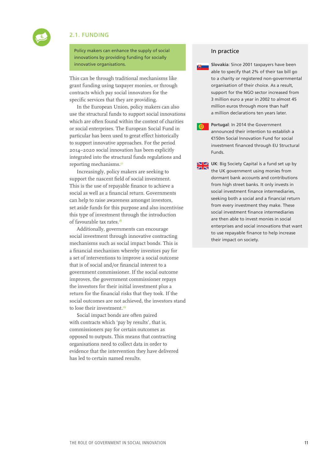### 2.1. FUNDING

<span id="page-12-0"></span>

Policy makers can enhance the supply of social innovations by providing funding for socially innovative organisations.

This can be through traditional mechanisms like grant funding using taxpayer monies, or through contracts which pay social innovators for the specific services that they are providing.

In the European Union, policy makers can also use the structural funds to support social innovations which are often found within the context of charities or social enterprises. The European Social Fund in particular has been used to great effect historically to support innovative approaches. For the period 2014–2020 social innovation has been explicitly integrated into the structural funds regulations and reporting mechanisms.**<sup>17</sup>**

Increasingly, policy makers are seeking to support the nascent field of social investment. This is the use of repayable finance to achieve a social as well as a financial return. Governments can help to raise awareness amongst investors, set aside funds for this purpose and also incentivise this type of investment through the introduction of favourable tax rates.**<sup>18</sup>**

Additionally, governments can encourage social investment through innovative contracting mechanisms such as social impact bonds. This is a financial mechanism whereby investors pay for a set of interventions to improve a social outcome that is of social and/or financial interest to a government commissioner. If the social outcome improves, the government commissioner repays the investors for their initial investment plus a return for the financial risks that they took. If the social outcomes are not achieved, the investors stand to lose their investment.**<sup>19</sup>**

Social impact bonds are often paired with contracts which 'pay by results', that is, commissioners pay for certain outcomes as opposed to outputs. This means that contracting organisations need to collect data in order to evidence that the intervention they have delivered has led to certain named results.

#### In practice



**Portugal**: In 2014 the Government  $\bullet$ announced their intention to establish a €150m Social Innovation Fund for social investment financed through EU Structural Funds.

**N Z** UK: Big Society Capital is a fund set up by the UK government using monies from dormant bank accounts and contributions from high street banks. It only invests in social investment finance intermediaries, seeking both a social and a financial return from every investment they make. These social investment finance intermediaries are then able to invest monies in social enterprises and social innovations that want to use repayable finance to help increase their impact on society.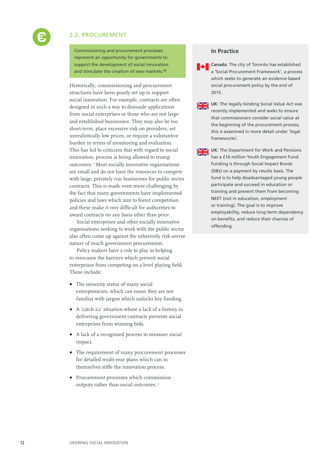### <span id="page-13-0"></span>2.2. PROCUREMENT

Commissioning and procurement processes represent an opportunity for governments to support the development of social innovation and stimulate the creation of new markets.**<sup>20</sup>**

Historically, commissioning and procurement structures have been poorly set up to support social innovation. For example, contracts are often designed in such a way to dissuade applications from social enterprises or those who are not large and established businesses. They may also be too short-term, place excessive risk on providers, set unrealistically low prices, or require a substantive burden in terms of monitoring and evaluation. This has led to criticism that with regard to social innovation, process is being allowed to trump outcomes.**<sup>21</sup>** Most socially innovative organisations are small and do not have the resources to compete with large, privately run businesses for public sector contracts. This is made even more challenging by the fact that many governments have implemented policies and laws which aim to foster competition and these make it very difficult for authorities to award contracts on any basis other than price.

Social enterprises and other socially innovative organisations seeking to work with the public sector also often come up against the inherently risk-averse nature of much government procurement.

Policy makers have a role to play in helping to overcome the barriers which prevent social enterprises from competing on a level playing field. These include:

- **•** The minority status of many social entrepreneurs, which can mean they are not familiar with jargon which unlocks key funding.
- **•** A 'catch-22' situation where a lack of a history in delivering government contracts prevents social enterprises from winning bids.
- **•** A lack of a recognised process to measure social impact.
- **•** The requirement of many procurement processes for detailed multi-year plans which can in themselves stifle the innovation process.
- **•** Procurement processes which commission outputs rather than social outcomes.**<sup>22</sup>**

#### **In Practice**

**Canada**: The city of Toronto has established a 'Social Procurement Framework', a process which seeks to generate an evidence-based social procurement policy by the end of 2015.

- **UK:** The legally binding Social Value Act was recently implemented and seeks to ensure that commissioners consider social value at the beginning of the procurement process; this is examined in more detail under 'legal frameworks'.
- **NZ** UK: The Department for Work and Pensions has a £16 million Youth Engagement Fund. Funding is through Social Impact Bonds (SIBs) on a payment by results basis. The fund is to help disadvantaged young people participate and succeed in education or training and prevent them from becoming NEET (not in education, employment or training). The goal is to improve employability, reduce long-term dependency on benefits, and reduce their chances of offending.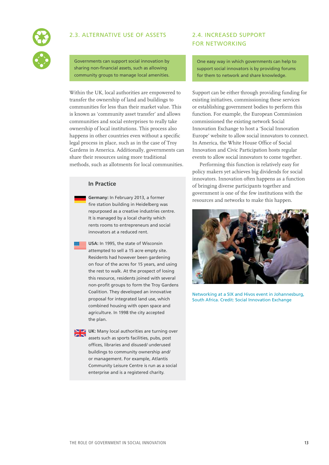

<span id="page-14-0"></span>

Governments can support social innovation by sharing non-financial assets, such as allowing community groups to manage local amenities.

Within the UK, local authorities are empowered to transfer the ownership of land and buildings to communities for less than their market value. This is known as 'community asset transfer' and allows communities and social enterprises to really take ownership of local institutions. This process also happens in other countries even without a specific legal process in place, such as in the case of Troy Gardens in America. Additionally, governments can share their resources using more traditional methods, such as allotments for local communities.

#### **In Practice**

**Germany:** In February 2013, a former fire station building in Heidelberg was repurposed as a creative industries centre. It is managed by a local charity which rents rooms to entrepreneurs and social innovators at a reduced rent.

**USA:** In 1995, the state of Wisconsin attempted to sell a 15 acre empty site. Residents had however been gardening on four of the acres for 15 years, and using the rest to walk. At the prospect of losing this resource, residents joined with several non-profit groups to form the Troy Gardens Coalition. They developed an innovative proposal for integrated land use, which combined housing with open space and agriculture. In 1998 the city accepted the plan.

**UK:** Many local authorities are turning over assets such as sports facilities, pubs, post offices, libraries and disused/ underused buildings to community ownership and/ or management. For example, Atlantis Community Leisure Centre is run as a social enterprise and is a registered charity.

### 2.4. INCREASED SUPPORT FOR NETWORKING

One easy way in which governments can help to support social innovators is by providing forums for them to network and share knowledge.

Support can be either through providing funding for existing initiatives, commissioning these services or establishing government bodies to perform this function. For example, the European Commission commissioned the existing network Social Innovation Exchange to host a 'Social Innovation Europe' website to allow social innovators to connect. In America, the White House Office of Social Innovation and Civic Participation hosts regular events to allow social innovators to come together.

Performing this function is relatively easy for policy makers yet achieves big dividends for social innovators. Innovation often happens as a function of bringing diverse participants together and government is one of the few institutions with the resources and networks to make this happen.



Networking at a SIX and Hivos event in Johannesburg, South Africa. Credit: Social Innovation Exchange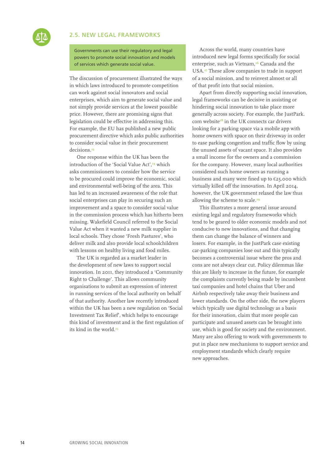#### <span id="page-15-0"></span>2.5. NEW LEGAL FRAMEWORKS

Governments can use their regulatory and legal powers to promote social innovation and models of services which generate social value.

The discussion of procurement illustrated the ways in which laws introduced to promote competition can work against social innovators and social enterprises, which aim to generate social value and not simply provide services at the lowest possible price. However, there are promising signs that legislation could be effective in addressing this. For example, the EU has published a new public procurement directive which asks public authorities to consider social value in their procurement decisions.**<sup>23</sup>**

One response within the UK has been the introduction of the 'Social Value Act',**<sup>24</sup>** which asks commissioners to consider how the service to be procured could improve the economic, social and environmental well-being of the area. This has led to an increased awareness of the role that social enterprises can play in securing such an improvement and a space to consider social value in the commission process which has hitherto been missing. Wakefield Council referred to the Social Value Act when it wanted a new milk supplier in local schools. They chose 'Fresh Pastures', who deliver milk and also provide local schoolchildren with lessons on healthy living and food miles.

The UK is regarded as a market leader in the development of new laws to support social innovation. In 2011, they introduced a 'Community Right to Challenge'. This allows community organisations to submit an expression of interest in running services of the local authority on behalf of that authority. Another law recently introduced within the UK has been a new regulation on 'Social Investment Tax Relief', which helps to encourage this kind of investment and is the first regulation of its kind in the world.**<sup>25</sup>**

Across the world, many countries have introduced new legal forms specifically for social enterprise, such as Vietnam,**<sup>26</sup>** Canada and the USA.**<sup>27</sup>** These allow companies to trade in support of a social mission, and to reinvest almost or all of that profit into that social mission.

Apart from directly supporting social innovation, legal frameworks can be decisive in assisting or hindering social innovation to take place more generally across society. For example, the JustPark. com website**<sup>28</sup>** in the UK connects car drivers looking for a parking space via a mobile app with home owners with space on their driveway in order to ease parking congestion and traffic flow by using the unused assets of vacant space. It also provides a small income for the owners and a commission for the company. However, many local authorities considered such home owners as running a business and many were fined up to €25,000 which virtually killed off the innovation. In April 2014, however, the UK government relaxed the law thus allowing the scheme to scale.**<sup>29</sup>**

This illustrates a more general issue around existing legal and regulatory frameworks which tend to be geared to older economic models and not conducive to new innovations, and that changing them can change the balance of winners and losers. For example, in the JustPark case existing car-parking companies lose out and this typically becomes a controversial issue where the pros and cons are not always clear cut. Policy dilemmas like this are likely to increase in the future, for example the complaints currently being made by incumbent taxi companies and hotel chains that Uber and Airbnb respectively take away their business and lower standards. On the other side, the new players which typically use digital technology as a basis for their innovation, claim that more people can participate and unused assets can be brought into use, which is good for society and the environment. Many are also offering to work with governments to put in place new mechanisms to support service and employment standards which clearly require new approaches.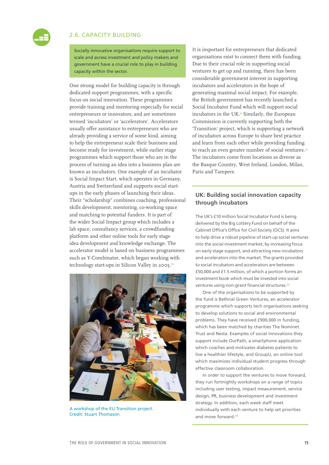<span id="page-16-0"></span>

#### 2.6. CAPACITY BUILDING

Socially innovative organisations require support to scale and access investment and policy makers and government have a crucial role to play in building capacity within the sector.

One strong model for building capacity is through dedicated support programmes, with a specific focus on social innovation. These programmes provide training and mentoring especially for social entrepreneurs or innovators, and are sometimes termed 'incubators' or 'accelerators'. Accelerators usually offer assistance to entrepreneurs who are already providing a service of some kind, aiming to help the entrepreneur scale their business and become ready for investment, while earlier stage programmes which support those who are in the process of turning an idea into a business plan are known as incubators. One example of an incubator is Social Impact Start, which operates in Germany, Austria and Switzerland and supports social startups in the early phases of launching their ideas. Their "scholarship" combines coaching, professional skills development, mentoring, co-working space and matching to potential funders. It is part of the wider Social Impact group which includes a lab space, consultancy services, a crowdfunding platform and other online tools for early stage idea development and knowledge exchange. The accelerator model is based on business programmes such as Y-Combinator, which began working with technology start-ups in Silicon Valley in 2005.**<sup>30</sup>**



A workshop of the EU Transition project. Credit: Stuart Thomason

It is important for entrepreneurs that dedicated organisations exist to connect them with funding. Due to their crucial role in supporting social ventures to get up and running, there has been considerable government interest in supporting incubators and accelerators in the hope of generating maximal social impact. For example, the British government has recently launched a Social Incubator Fund which will support social incubators in the UK.**<sup>31</sup>** Similarly, the European Commission is currently supporting both the 'Transition' project, which is supporting a network of incubators across Europe to share best practice and learn from each other while providing funding to reach an even greater number of social ventures.**<sup>32</sup>** The incubators come from locations as diverse as the Basque Country, West Ireland, London, Milan, Paris and Tampere.

#### **UK: Building social innovation capacity through incubators**

The UK's £10 million Social Incubator Fund is being delivered by the Big Lottery Fund on behalf of the Cabinet Office's Office for Civil Society (OCS). It aims to help drive a robust pipeline of start-up social ventures into the social investment market, by increasing focus on early stage support, and attracting new incubators and accelerators into the market. The grants provided to social incubators and accelerators are between £50,000 and £1.5 million, of which a portion forms an investment book which must be invested into social ventures using non-grant financial structures.**<sup>33</sup>**

One of the organisations to be supported by the fund is Bethnal Green Ventures, an accelerator programme which supports tech organisations seeking to develop solutions to social and environmental problems. They have received £900,000 in funding, which has been matched by charities The Nominet Trust and Nesta. Examples of social innovations they support include OurPath, a smartphone application which coaches and motivates diabetes patients to live a healthier lifestyle, and GroupU, an online tool which maximizes individual student progress through effective classroom collaboration.

In order to support the ventures to move forward, they run fortnightly workshops on a range of topics including user testing, impact measurement, service design, PR, business development and investment strategy. In addition, each week staff meet individually with each venture to help set priorities and move forward.**34**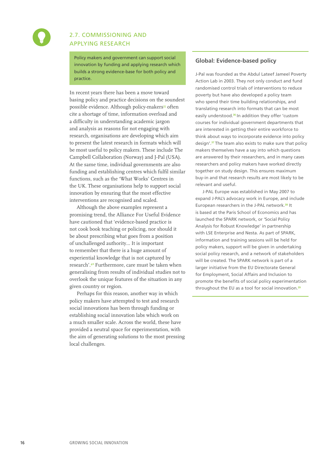<span id="page-17-0"></span>

### 2.7. COMMISSIONING AND APPLYING RESEARCH

Policy makers and government can support social innovation by funding and applying research which builds a strong evidence-base for both policy and practice.

In recent years there has been a move toward basing policy and practice decisions on the soundest possible evidence. Although policy-makers**<sup>35</sup>** often cite a shortage of time, information overload and a difficulty in understanding academic jargon and analysis as reasons for not engaging with research, organisations are developing which aim to present the latest research in formats which will be most useful to policy makers. These include The Campbell Collaboration (Norway) and J-Pal (USA). At the same time, individual governments are also funding and establishing centres which fulfil similar functions, such as the 'What Works' Centres in the UK. These organisations help to support social innovation by ensuring that the most effective interventions are recognised and scaled.

Although the above examples represent a promising trend, the Alliance For Useful Evidence have cautioned that 'evidence-based practice is not cook book teaching or policing, nor should it be about prescribing what goes from a position of unchallenged authority… It is important to remember that there is a huge amount of experiential knowledge that is not captured by research'.**<sup>40</sup>** Furthermore, care must be taken when generalising from results of individual studies not to overlook the unique features of the situation in any given country or region.

Perhaps for this reason, another way in which policy makers have attempted to test and research social innovations has been through funding or establishing social innovation labs which work on a much smaller scale. Across the world, these have provided a neutral space for experimentation, with the aim of generating solutions to the most pressing local challenges.

#### **Global: Evidence-based policy**

J-Pal was founded as the Abdul Lateef Jameel Poverty Action Lab in 2003. They not only conduct and fund randomised control trials of interventions to reduce poverty but have also developed a policy team who spend their time building relationships, and translating research into formats that can be most easily understood.**<sup>36</sup>** In addition they offer 'custom courses for individual government departments that are interested in getting their entire workforce to think about ways to incorporate evidence into policy design'.**<sup>37</sup>** The team also exists to make sure that policy makers themselves have a say into which questions are answered by their researchers, and in many cases researchers and policy makers have worked directly together on study design. This ensures maximum buy-in and that research results are most likely to be relevant and useful.

J-PAL Europe was established in May 2007 to expand J-PAL's advocacy work in Europe, and include European researchers in the J-PAL network.**<sup>38</sup>** It is based at the Paris School of Economics and has launched the SPARK network, or 'Social Policy Analysis for Robust Knowledge' in partnership with LSE Enterprise and Nesta. As part of SPARK, information and training sessions will be held for policy makers, support will be given in undertaking social policy research, and a network of stakeholders will be created. The SPARK network is part of a larger initiative from the EU Directorate General for Employment, Social Affairs and Inclusion to promote the benefits of social policy experimentation throughout the EU as a tool for social innovation.**39**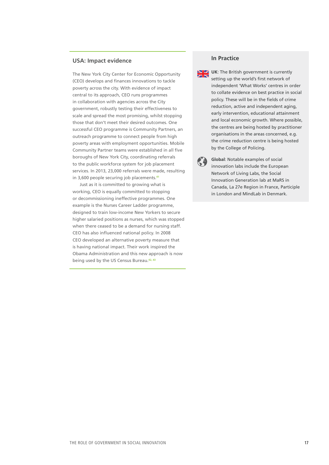#### **USA: Impact evidence**

The New York City Center for Economic Opportunity (CEO) develops and finances innovations to tackle poverty across the city. With evidence of impact central to its approach, CEO runs programmes in collaboration with agencies across the City government, robustly testing their effectiveness to scale and spread the most promising, whilst stopping those that don't meet their desired outcomes. One successful CEO programme is Community Partners, an outreach programme to connect people from high poverty areas with employment opportunities. Mobile Community Partner teams were established in all five boroughs of New York City, coordinating referrals to the public workforce system for job placement services. In 2013, 23,000 referrals were made, resulting in 3,600 people securing job placements.**<sup>41</sup>**

Just as it is committed to growing what is working, CEO is equally committed to stopping or decommissioning ineffective programmes. One example is the Nurses Career Ladder programme, designed to train low-income New Yorkers to secure higher salaried positions as nurses, which was stopped when there ceased to be a demand for nursing staff. CEO has also influenced national policy. In 2008 CEO developed an [alternative poverty measure](http://www.nyc.gov/html/ceo/html/poverty/poverty.shtml) that is having national impact. Their work inspired the Obama Administration and this new approach is now being used by the US Census Bureau.**42, 43**

#### **In Practice**

**UK:** The British government is currently setting up the world's first network of independent 'What Works' centres in order to collate evidence on best practice in social policy. These will be in the fields of crime reduction, active and independent aging, early intervention, educational attainment and local economic growth. Where possible, the centres are being hosted by practitioner organisations in the areas concerned, e.g. the crime reduction centre is being hosted by the College of Policing.

**Global**: Notable examples of social KA. innovation labs include the European Network of Living Labs, the Social Innovation Generation lab at MaRS in Canada, La 27e Region in France, Participle in London and MindLab in Denmark.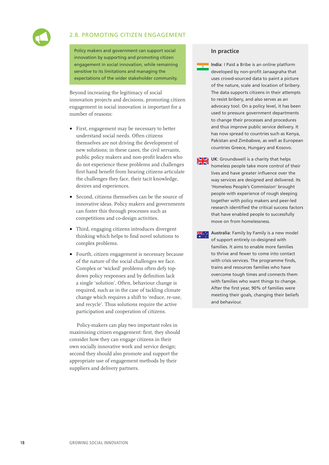<span id="page-19-0"></span>

#### 2.8. PROMOTING CITIZEN ENGAGEMENT

Policy makers and government can support social innovation by supporting and promoting citizen engagement in social innovation, while remaining sensitive to its limitations and managing the expectations of the wider stakeholder community.

Beyond increasing the legitimacy of social innovation projects and decisions, promoting citizen engagement in social innovation is important for a number of reasons:

- **•** First, engagement may be necessary to better understand social needs. Often citizens themselves are not driving the development of new solutions; in these cases, the civil servants, public policy makers and non-profit leaders who do not experience these problems and challenges first hand benefit from hearing citizens articulate the challenges they face, their tacit knowledge, desires and experiences.
- **•** Second, citizens themselves can be the source of innovative ideas. Policy makers and governments can foster this through processes such as competitions and co-design activities.
- **•** Third, engaging citizens introduces divergent thinking which helps to find novel solutions to complex problems.
- **•** Fourth, citizen engagement is necessary because of the nature of the social challenges we face. Complex or 'wicked' problems often defy topdown policy responses and by definition lack a single 'solution'. Often, behaviour change is required, such as in the case of tackling climate change which requires a shift to 'reduce, re-use, and recycle'. Thus solutions require the active participation and cooperation of citizens.

Policy-makers can play two important roles in maximising citizen engagement: first, they should consider how they can engage citizens in their own socially innovative work and service design; second they should also promote and support the appropriate use of engagement methods by their suppliers and delivery partners.

#### **In practice**

**India**: I Paid a Bribe is an online platform developed by non-profit Janaagraha that uses crowd-sourced data to paint a picture of the nature, scale and location of bribery. The data supports citizens in their attempts to resist bribery, and also serves as an advocacy tool. On a policy level, it has been used to pressure government departments to change their processes and procedures and thus improve public service delivery. It has now spread to countries such as Kenya, Pakistan and Zimbabwe, as well as European countries Greece, Hungary and Kosovo.

**UK:** Groundswell is a charity that helps homeless people take more control of their lives and have greater influence over the way services are designed and delivered. Its 'Homeless People's Commission' brought people with experience of rough sleeping together with policy makers and peer-led research identified the critical success factors that have enabled people to successfully move on from homelessness.

**Australia**: Family by Family is a new model XX. of support entirely co-designed with families. It aims to enable more families to thrive and fewer to come into contact with crisis services. The programme finds, trains and resources families who have overcome tough times and connects them with families who want things to change. After the first year, 90% of families were meeting their goals, changing their beliefs and behaviour.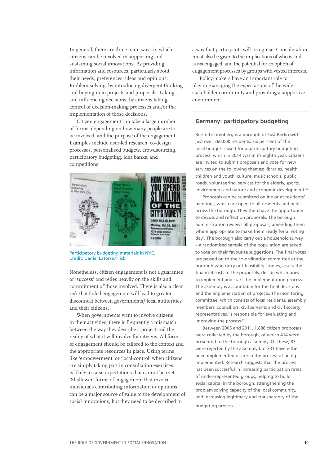In general, there are three main ways in which citizens can be involved in supporting and sustaining social innovations: By providing information and resources, particularly about their needs, preferences, ideas and opinions; Problem solving, by introducing divergent thinking and buying-in to projects and proposals; Taking and influencing decisions, by citizens taking control of decision-making processes and/or the implementation of those decisions.

Citizen engagement can take a large number of forms, depending on how many people are to be involved, and the purpose of the engagement. Examples include user-led research, co-design processes, personalised budgets, crowdsourcing, participatory budgeting, idea banks, and competitions.



Participatory budgeting materials in NYC. Credit: Daniel Latorre/Flickr

Nonetheless, citizen engagement is not a guarantee of 'success' and relies heavily on the skills and commitment of those involved. There is also a clear risk that failed engagement will lead to greater disconnect between governments/ local authorities and their citizens.

When governments want to involve citizens in their activities, there is frequently a mismatch between the way they describe a project and the reality of what it will involve for citizens. All forms of engagement should be tailored to the context and the appropriate resources in place. Using terms like 'empowerment' or 'local-control' when citizens are simply taking part in consultation exercises is likely to raise expectations that cannot be met. 'Shallower' forms of engagement that involve individuals contributing information or opinions can be a major source of value to the development of social innovations, but they need to be described in

a way that participants will recognise. Consideration must also be given to the implications of who is and is *not* engaged, and the potential for co-option of engagement processes by groups with vested interests.

Policy-makers have an important role to play in managing the expectations of the wider stakeholder community and providing a supportive environment.

#### **Germany: participatory budgeting**

Berlin-Lichtenberg is a borough of East Berlin with just over 260,000 residents. Six per cent of the local budget is used for a participatory budgeting process, which in 2014 was in its eighth year. Citizens are invited to submit proposals and vote for new services on the following themes: libraries, health, children and youth, culture, music schools, public roads, volunteering, services for the elderly, sports, environment and nature and economic development.**<sup>44</sup>**

Proposals can be submitted online or at residents' meetings, which are open to all residents and held across the borough. They then have the opportunity to discuss and reflect on proposals. The borough administration reviews all proposals, amending them where appropriate to make them ready for a 'voting day'. The borough also carry out a household survey – a randomised sample of the population are asked to vote on their favourite suggestions. The final votes are passed on to the co-ordination committee at the borough who carry out feasibility studies, assess the financial costs of the proposals, decide which ones to implement and start the implementation process. The assembly is accountable for the final decisions and the implementation of projects. The monitoring committee, which consists of local residents, assembly members, councillors, civil servants and civil society representatives, is responsible for evaluating and improving the process**.45**

Between 2005 and 2011, 1,888 citizen proposals were collected by the borough, of which 414 were presented to the borough assembly. Of these, 83 were rejected by the assembly but 331 have either been implemented or are in the process of being implemented. Research suggests that the process has been successful in increasing participation rates of under-represented groups, helping to build social capital in the borough, strengthening the problem solving capacity of the local community, and increasing legitimacy and transparency of the budgeting process.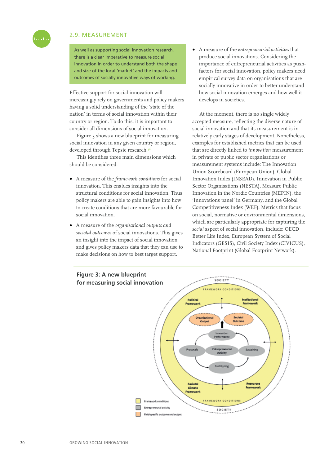#### 2.9. MEASUREMENT

As well as supporting social innovation research, there is a clear imperative to measure social innovation in order to understand both the shape and size of the local 'market' and the impacts and outcomes of socially innovative ways of working.

Effective support for social innovation will increasingly rely on governments and policy makers having a solid understanding of the 'state of the nation' in terms of social innovation within their country or region. To do this, it is important to consider all dimensions of social innovation.

Figure 3 shows a new blueprint for measuring social innovation in any given country or region, developed through Tepsie research.**<sup>46</sup>**

This identifies three main dimensions which should be considered:

- **•** A measure of the *framework conditions* for social innovation. This enables insights into the structural conditions for social innovation. Thus policy makers are able to gain insights into how to create conditions that are more favourable for social innovation.
- **•** A measure of the *organisational outputs and societal outcomes* of social innovations. This gives an insight into the impact of social innovation and gives policy makers data that they can use to make decisions on how to best target support.

**•** A measure of the *entrepreneurial activities* that produce social innovations. Considering the importance of entrepreneurial activities as pushfactors for social innovation, policy makers need empirical survey data on organisations that are socially innovative in order to better understand how social innovation emerges and how well it develops in societies.

At the moment, there is no single widely accepted measure, reflecting the diverse nature of social innovation and that its measurement is in relatively early stages of development. Nonetheless, examples for established metrics that can be used that are directly linked to *innovation* measurement in private or public sector organisations or measurement systems include: The Innovation Union Scoreboard (European Union), Global Innovation Index (INSEAD), Innovation in Public Sector Organisations (NESTA), Measure Public Innovation in the Nordic Countries (MEPIN), the 'Innovations panel' in Germany, and the Global Competitiveness Index (WEF). Metrics that focus on social, normative or environmental dimensions, which are particularly appropriate for capturing the *social* aspect of social innovation, include: OECD Better Life Index, European System of Social Indicators (GESIS), Civil Society Index (CIVICUS), National Footprint (Global Footprint Network).



<span id="page-21-0"></span>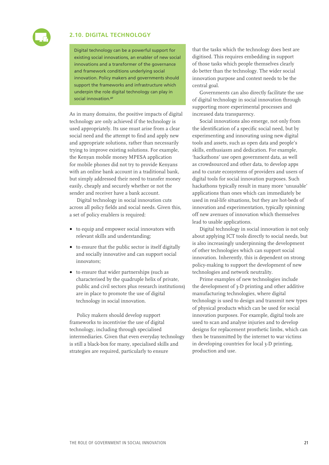#### <span id="page-22-0"></span>**2.10. DIGITAL TECHNOLOGY**

Digital technology can be a powerful support for existing social innovations, an enabler of new social innovations and a transformer of the governance and framework conditions underlying social innovation. Policy makers and governments should support the frameworks and infrastructure which underpin the role digital technology can play in social innovation.**<sup>47</sup>**

As in many domains, the positive impacts of digital technology are only achieved if the technology is used appropriately. Its use must arise from a clear social need and the attempt to find and apply new and appropriate solutions, rather than necessarily trying to improve existing solutions. For example, the Kenyan mobile money MPESA application for mobile phones did not try to provide Kenyans with an online bank account in a traditional bank, but simply addressed their need to transfer money easily, cheaply and securely whether or not the sender and receiver have a bank account.

Digital technology in social innovation cuts across all policy fields and social needs. Given this, a set of policy enablers is required:

- **•** to equip and empower social innovators with relevant skills and understanding;
- **•** to ensure that the public sector is itself digitally and socially innovative and can support social innovators;
- **•** to ensure that wider partnerships (such as characterised by the quadruple helix of private, public and civil sectors plus research institutions) are in place to promote the use of digital technology in social innovation.

Policy makers should develop support frameworks to incentivise the use of digital technology, including through specialised intermediaries. Given that even everyday technology is still a black-box for many, specialised skills and strategies are required, particularly to ensure

that the tasks which the technology does best are digitised. This requires embedding in support of those tasks which people themselves clearly do better than the technology. The wider social innovation purpose and context needs to be the central goal.

Governments can also directly facilitate the use of digital technology in social innovation through supporting more experimental processes and increased data transparency.

Social innovations also emerge, not only from the identification of a specific social need, but by experimenting and innovating using new digital tools and assets, such as open data and people's skills, enthusiasm and dedication. For example, 'hackathons' use open government data, as well as crowdsourced and other data, to develop apps and to curate ecosystems of providers and users of digital tools for social innovation purposes. Such hackathons typically result in many more 'unusable' applications than ones which can immediately be used in real-life situations, but they are hot-beds of innovation and experimentation, typically spinning off new avenues of innovation which themselves lead to usable applications.

Digital technology in social innovation is not only about applying ICT tools directly to social needs, but is also increasingly underpinning the development of other technologies which can support social innovation. Inherently, this is dependent on strong policy-making to support the development of new technologies and network neutrality.

Prime examples of new technologies include the development of 3-D printing and other additive manufacturing technologies, where digital technology is used to design and transmit new types of physical products which can be used for social innovation purposes. For example, digital tools are used to scan and analyse injuries and to develop designs for replacement prosthetic limbs, which can then be transmitted by the internet to war victims in developing countries for local 3-D printing, production and use.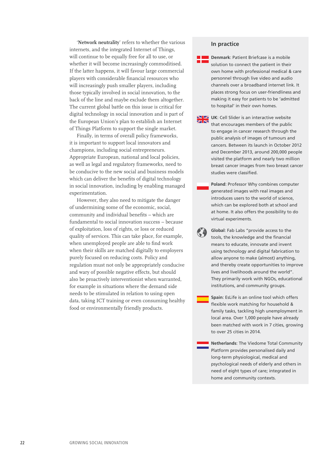'**Network neutrality**' refers to whether the various internets, and the integrated Internet of Things, will continue to be equally free for all to use, or whether it will become increasingly commoditised. If the latter happens, it will favour large commercial players with considerable financial resources who will increasingly push smaller players, including those typically involved in social innovation, to the back of the line and maybe exclude them altogether. The current global battle on this issue is critical for digital technology in social innovation and is part of the European Union's plan to establish an Internet of Things Platform to support the single market.

Finally, in terms of overall policy frameworks, it is important to support local innovators and champions, including social entrepreneurs. Appropriate European, national and local policies, as well as legal and regulatory frameworks, need to be conducive to the new social and business models which can deliver the benefits of digital technology in social innovation, including by enabling managed experimentation.

However, they also need to mitigate the danger of undermining some of the economic, social, community and individual benefits – which are fundamental to social innovation success – because of exploitation, loss of rights, or loss or reduced quality of services. This can take place, for example, when unemployed people are able to find work when their skills are matched digitally to employers purely focused on reducing costs. Policy and regulation must not only be appropriately conducive and wary of possible negative effects, but should also be proactively interventionist when warranted, for example in situations where the demand side needs to be stimulated in relation to using open data, taking ICT training or even consuming healthy food or environmentally friendly products.

#### **In practice**

**Denmark**: Patient Briefcase is a mobile solution to connect the patient in their own home with professional medical & care personnel through live video and audio channels over a broadband internet link. It places strong focus on user-friendliness and making it easy for patients to be 'admitted to hospital' in their own homes.

- **UK**: Cell Slider is an interactive website that encourages members of the public to engage in cancer research through the public analysis of images of tumours and cancers. Between its launch in October 2012 and December 2013, around 200,000 people visited the platform and nearly two million breast cancer images from two breast cancer studies were classified.
	- **Poland**: Professor Why combines computer generated images with real images and introduces users to the world of science, which can be explored both at school and at home. It also offers the possibility to do virtual experiments.
	- **Global**: Fab Labs "provide access to the tools, the knowledge and the financial means to educate, innovate and invent using technology and digital fabrication to allow anyone to make (almost) anything, and thereby create opportunities to improve lives and livelihoods around the world". They primarily work with NGOs, educational institutions, and community groups.
	- **Spain**: EsLife is an online tool which offers flexible work matching for household & family tasks, tackling high unemployment in local area. Over 1,000 people have already been matched with work in 7 cities, growing to over 25 cities in 2014.
	- **Netherlands**: The Viedome Total Community Platform provides personalised daily and long-term physiological, medical and psychological needs of elderly and others in need of eight types of care; integrated in home and community contexts.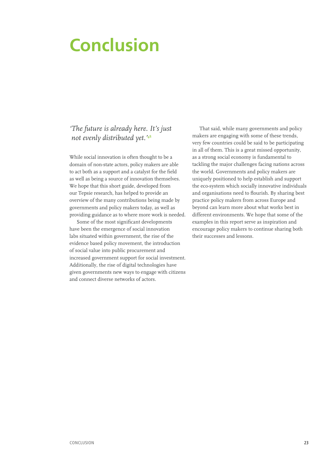# <span id="page-24-0"></span>**Conclusion**

## *'The future is already here. It's just not evenly distributed yet.'***<sup>48</sup>**

While social innovation is often thought to be a domain of non-state actors, policy makers are able to act both as a support and a catalyst for the field as well as being a source of innovation themselves. We hope that this short guide, developed from our Tepsie research, has helped to provide an overview of the many contributions being made by governments and policy makers today, as well as providing guidance as to where more work is needed.

Some of the most significant developments have been the emergence of social innovation labs situated within government, the rise of the evidence based policy movement, the introduction of social value into public procurement and increased government support for social investment. Additionally, the rise of digital technologies have given governments new ways to engage with citizens and connect diverse networks of actors.

That said, while many governments and policy makers are engaging with some of these trends, very few countries could be said to be participating in all of them. This is a great missed opportunity, as a strong social economy is fundamental to tackling the major challenges facing nations across the world. Governments and policy makers are uniquely positioned to help establish and support the eco-system which socially innovative individuals and organisations need to flourish. By sharing best practice policy makers from across Europe and beyond can learn more about what works best in different environments. We hope that some of the examples in this report serve as inspiration and encourage policy makers to continue sharing both their successes and lessons.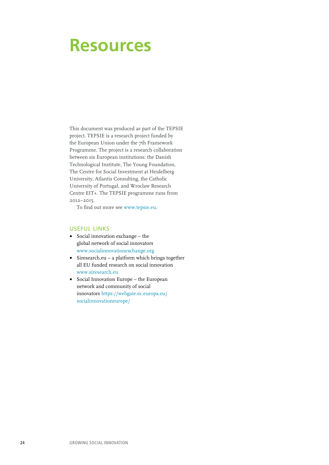# <span id="page-25-0"></span>**Resources**

This document was produced as part of the TEPSIE project. TEPSIE is a research project funded by the European Union under the 7th Framework Programme. The project is a research collaboration between six European institutions: the Danish Technological Institute, The Young Foundation, The Centre for Social Investment at Heidelberg University, Atlantis Consulting, the Catholic University of Portugal, and Wroclaw Research Centre EIT+. The TEPSIE programme runs from 2012–2015.

To find out more see www.tepsie.eu.

#### USEFUL LINKS

- **•** Social innovation exchange the global network of social innovators www.socialinnovationexchange.org
- **•** Siresearch.eu a platform which brings together all EU funded research on social innovation www.siresearch.eu
- **•** Social Innovation Europe the European network and community of social innovators https://webgate.ec.europa.eu/ socialinnovationeurope/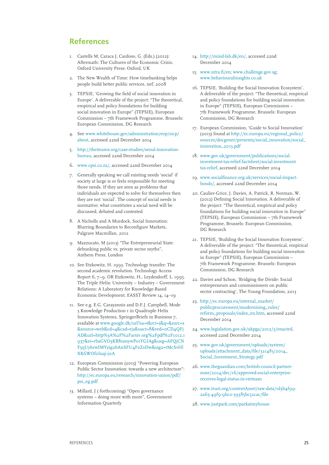### <span id="page-26-0"></span>**References**

- 1. Castells M, Caraca J, Cardoso, G. (Eds.) (2012): Aftermath: The Cultures of the Economic Crisis. Oxford University Press: Oxford, UK
- 2. The New Wealth of Time: How timebanking helps people build better public services, nef, 2008
- 3. TEPSIE, 'Growing the field of social innovation in Europe'. A deliverable of the project: "The theoretical, empirical and policy foundations for building social innovation in Europe" (TEPSIE), European Commission – 7th Framework Programme, Brussels: European Commission, DG Research
- 4. See www.whitehouse.gov/administration/eop/sicp/ about, accessed 22nd December 2014
- 5. http://theiteams.org/case-studies/seoul-innovationbureau, accessed 22nd December 2014
- 6. www.cpsi.co.za/, accessed 22nd December 2014
- 7. Generally speaking we call existing needs 'social' if society at large is or feels responsible for meeting those needs. If they are seen as problems that individuals are expected to solve for themselves then they are not 'social'. The concept of social needs is normative; what constitutes a social need will be discussed, debated and contested
- 8. A Nicholls and A Murdock, Social Innovation: Blurring Boundaries to Reconfigure Markets, Palgrave Macmillan, 2012
- 9. Mazzucato, M (2013) "The Entrepreneurial State: debunking public vs. private sector myths", Anthem Press, London
- 10. See Etzkowitz, H. 1993. Technology transfer: The second academic revolution. Technology Access Report 6, 7–9. OR Etzkowitz, H., Leydesdorff, L. 1995. The Triple Helix: University – Industry – Government Relations: A Laboratory for Knowledge-Based Economic Development. EASST Review 14, 14–19
- 11. See e.g. E.G. Carayannis and D.F.J. Campbell, Mode 3 Knowledge Production 1 in Quadruple Helix Innovation Systems, SpringerBriefs in Business 7, available at www.google.dk/url?sa=t&rct=j&q=&esrc=s &source=web&cd=4&cad=rja&uact=8&ved=0CD4QFj AD&url=http%3A%2F%2Farxiv.org%2Fpdf%2F1012.1 937&ei=rbaGVO3KB8nmywPo1YGIAg&usg=AFQjCN F5qUyhrwIMYyig2bAnSFU4FzZsDw&sig2=tMcSvHl XK6WOf0luqi-j0A
- 12. European Commission (2013) "Powering European Public Sector Innovation: towards a new architecture": http://ec.europa.eu/research/innovation-union/pdf/ psi\_eg.pdf
- 13. Millard, J ( forthcoming) "Open governance systems – doing more with more", Government Information Quarterly
- 14. http://mind-lab.dk/en/, accessed 22nd December 2014
- 15. www.sitra.fi/en; www.challenge.gov.sg; www.behaviouralinsights.co.uk
- 16. TEPSIE, 'Building the Social Innovation Ecosystem'. A deliverable of the project: "The theoretical, empirical and policy foundations for building social innovation in Europe" (TEPSIE), European Commission – 7th Framework Programme, Brussels: European Commission, DG Research
- 17. European Commission, 'Guide to Social Innovation' (2013) found at http://ec.europa.eu/regional\_policy/ sources/docgener/presenta/social\_innovation/social\_ innovation\_2013.pdf
- 18. www.gov.uk/government/publications/socialinvestment-tax-relief-factsheet/social-investment tax-relief, accessed 22nd December 2014
- 19. www.socialfinance.org.uk/services/social-impactbonds/, accessed 22nd December 2014
- 20. Caulier-Grice, J. Davies, A. Patrick, R. Norman, W. (2012) Defining Social Innovation. A deliverable of the project: "The theoretical, empirical and policy foundations for building social innovation in Europe" (TEPSIE), European Commission – 7th Framework Programme, Brussels: European Commission, DG Research
- 21. TEPSIE, 'Building the Social Innovation Ecosystem'. A deliverable of the project: "The theoretical, empirical and policy foundations for building social innovation in Europe" (TEPSIE), European Commission – 7th Framework Programme, Brussels: European Commission, DG Research
- 22. Davies and Schon, 'Bridging the Divide: Social entrepreneurs and commissioners on public sector contracting', The Young Foundation, 2013
- 23. http://ec.europa.eu/internal\_market/ publicprocurement/modernising\_rules/ reform\_proposals/index\_en.htm, accessed 22nd December 2014
- 24. www.legislation.gov.uk/ukpga/2012/3/enacted, accessed 22nd December 2014
- 25. www.gov.uk/government/uploads/system/ uploads/attachment\_data/file/321483/2014\_ Social\_Investment\_Strategy.pdf
- 26. www.theguardian.com/british-council-partnerzone/2014/dec/16/approved-social-enterprisereceives-legal-status-in-vietnam
- 27. www.trust.org/contentAsset/raw-data/1d3b4f99- 2a65-49f9-9bc0-39585bc52cac/file
- 28. www.justpark.com/parkatmyhouse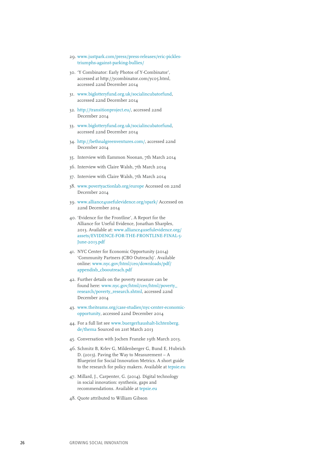- 29. www.justpark.com/press/press-releases/eric-picklestriumphs-against-parking-bullies/
- 30. 'Y Combinator: Early Photos of Y-Combinator', accessed at http://ycombinator.com/yc05.html, accessed 22nd December 2014
- 31. www.biglotteryfund.org.uk/socialincubatorfund, accessed 22nd December 2014
- 32. http://transitionproject.eu/, accessed 22nd December 2014
- 33. www.biglotteryfund.org.uk/socialincubatorfund, accessed 22nd December 2014
- 34. http://bethnalgreenventures.com/, accessed 22nd December 2014
- 35. Interview with Eammon Noonan, 7th March 2014
- 36. Interview with Claire Walsh, 7th March 2014
- 37. Interview with Claire Walsh, 7th March 2014
- 38. www.povertyactionlab.org/europe Accessed on 22nd December 2014
- 39. www.alliance4usefulevidence.org/spark/ Accessed on 22nd December 2014
- 40. 'Evidence for the Frontline', A Report for the Alliance for Useful Evidence, Jonathan Sharples, 2013. Available at: www.alliance4usefulevidence.org/ assets/EVIDENCE-FOR-THE-FRONTLINE-FINAL-5- June-2013.pdf
- 41. NYC Center for Economic Opportunity (2014) 'Community Partners (CBO Outreach)'. Available online: www.nyc.gov/html/ceo/downloads/pdf/ appendixb\_cbooutreach.pdf
- 42. Further details on the poverty measure can be found here: www.nyc.gov/html/ceo/html/poverty\_ research/poverty\_research.shtml, accessed 22nd December 2014
- 43. www.theiteams.org/case-studies/nyc-center-economicopportunity, accessed 22nd December 2014
- 44. For a full list see www.buergerhaushalt-lichtenberg. de/thema Sourced on 21st March 2013
- 45. Conversation with Jochen Franzke 19th March 2013.
- 46. Schmitz B, Krlev G, Mildenberger G, Bund E, Hubrich D. (2013). Paving the Way to Measurement – A Blueprint for Social Innovation Metrics. A short guide to the research for policy makers. Available at tepsie.eu
- 47. Millard, J., Carpenter, G. (2014). Digital technology in social innovation: synthesis, gaps and recommendations. Available at tepsie.eu
- 48. Quote attributed to William Gibson